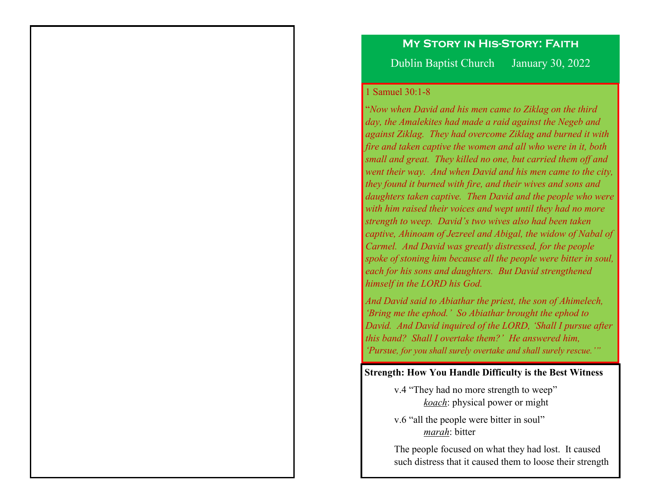## **My Story in His-Story: Faith**

Dublin Baptist Church January 30, 2022

#### 1 Samuel 30:1-8

"*Now when David and his men came to Ziklag on the third day, the Amalekites had made a raid against the Negeb and against Ziklag. They had overcome Ziklag and burned it with fire and taken captive the women and all who were in it, both small and great. They killed no one, but carried them off and went their way. And when David and his men came to the city, they found it burned with fire, and their wives and sons and daughters taken captive. Then David and the people who were with him raised their voices and wept until they had no more strength to weep. David's two wives also had been taken captive, Ahinoam of Jezreel and Abigal, the widow of Nabal of Carmel. And David was greatly distressed, for the people spoke of stoning him because all the people were bitter in soul, each for his sons and daughters. But David strengthened himself in the LORD his God.*

*And David said to Abiathar the priest, the son of Ahimelech, 'Bring me the ephod.' So Abiathar brought the ephod to David. And David inquired of the LORD, 'Shall I pursue after this band? Shall I overtake them?' He answered him, 'Pursue, for you shall surely overtake and shall surely rescue.'"* 

#### **Strength: How You Handle Difficulty is the Best Witness**

- v.4 "They had no more strength to weep" *koach*: physical power or might
- v.6 "all the people were bitter in soul" *marah*: bitter

The people focused on what they had lost. It caused such distress that it caused them to loose their strength